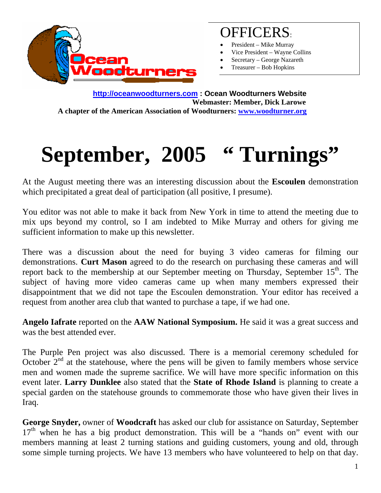

## OFFICERS:

- President Mike Murray
- Vice President Wayne Collins
- Secretary George Nazareth
- Treasurer Bob Hopkins

**http://oceanwoodturners.com : Ocean Woodturners Website Webmaster: Member, Dick Larowe A chapter of the American Association of Woodturners: www.woodturner.org** 

## September, 2005 " Turnings"

At the August meeting there was an interesting discussion about the **Escoulen** demonstration which precipitated a great deal of participation (all positive, I presume).

You editor was not able to make it back from New York in time to attend the meeting due to mix ups beyond my control, so I am indebted to Mike Murray and others for giving me sufficient information to make up this newsletter.

There was a discussion about the need for buying 3 video cameras for filming our demonstrations. **Curt Mason** agreed to do the research on purchasing these cameras and will report back to the membership at our September meeting on Thursday, September  $15<sup>th</sup>$ . The subject of having more video cameras came up when many members expressed their disappointment that we did not tape the Escoulen demonstration. Your editor has received a request from another area club that wanted to purchase a tape, if we had one.

**Angelo Iafrate** reported on the **AAW National Symposium.** He said it was a great success and was the best attended ever.

The Purple Pen project was also discussed. There is a memorial ceremony scheduled for October  $2<sup>nd</sup>$  at the statehouse, where the pens will be given to family members whose service men and women made the supreme sacrifice. We will have more specific information on this event later. **Larry Dunklee** also stated that the **State of Rhode Island** is planning to create a special garden on the statehouse grounds to commemorate those who have given their lives in Iraq.

**George Snyder,** owner of **Woodcraft** has asked our club for assistance on Saturday, September  $17<sup>th</sup>$  when he has a big product demonstration. This will be a "hands on" event with our members manning at least 2 turning stations and guiding customers, young and old, through some simple turning projects. We have 13 members who have volunteered to help on that day.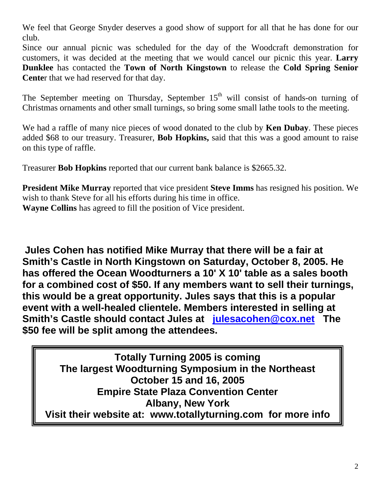We feel that George Snyder deserves a good show of support for all that he has done for our club.

Since our annual picnic was scheduled for the day of the Woodcraft demonstration for customers, it was decided at the meeting that we would cancel our picnic this year. **Larry Dunklee** has contacted the **Town of North Kingstown** to release the **Cold Spring Senior Cente**r that we had reserved for that day.

The September meeting on Thursday, September  $15<sup>th</sup>$  will consist of hands-on turning of Christmas ornaments and other small turnings, so bring some small lathe tools to the meeting.

We had a raffle of many nice pieces of wood donated to the club by **Ken Dubay**. These pieces added \$68 to our treasury. Treasurer, **Bob Hopkins,** said that this was a good amount to raise on this type of raffle.

Treasurer **Bob Hopkins** reported that our current bank balance is \$2665.32.

**President Mike Murray** reported that vice president **Steve Imms** has resigned his position. We wish to thank Steve for all his efforts during his time in office. **Wayne Collins** has agreed to fill the position of Vice president.

**Jules Cohen has notified Mike Murray that there will be a fair at Smith's Castle in North Kingstown on Saturday, October 8, 2005. He has offered the Ocean Woodturners a 10' X 10' table as a sales booth for a combined cost of \$50. If any members want to sell their turnings, this would be a great opportunity. Jules says that this is a popular event with a well-healed clientele. Members interested in selling at Smith's Castle should contact Jules at julesacohen@cox.net The \$50 fee will be split among the attendees.** 

**Totally Turning 2005 is coming The largest Woodturning Symposium in the Northeast October 15 and 16, 2005 Empire State Plaza Convention Center Albany, New York Visit their website at: www.totallyturning.com for more info**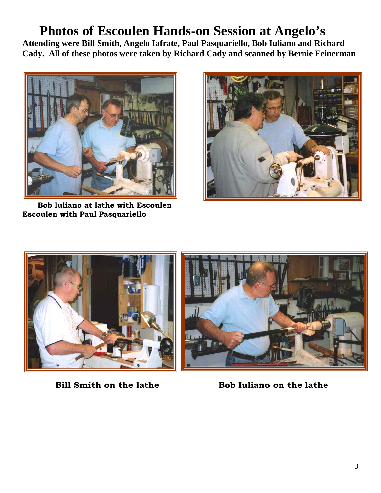## **Photos of Escoulen Hands-on Session at Angelo's**

**Attending were Bill Smith, Angelo Iafrate, Paul Pasquariello, Bob Iuliano and Richard Cady. All of these photos were taken by Richard Cady and scanned by Bernie Feinerman** 



 **Bob Iuliano at lathe with Escoulen Escoulen with Paul Pasquariello** 







**Bill Smith on the lathe 50 Bob Iuliano on the lather Robert Ethelia, and Bob Iuliano on the lather**